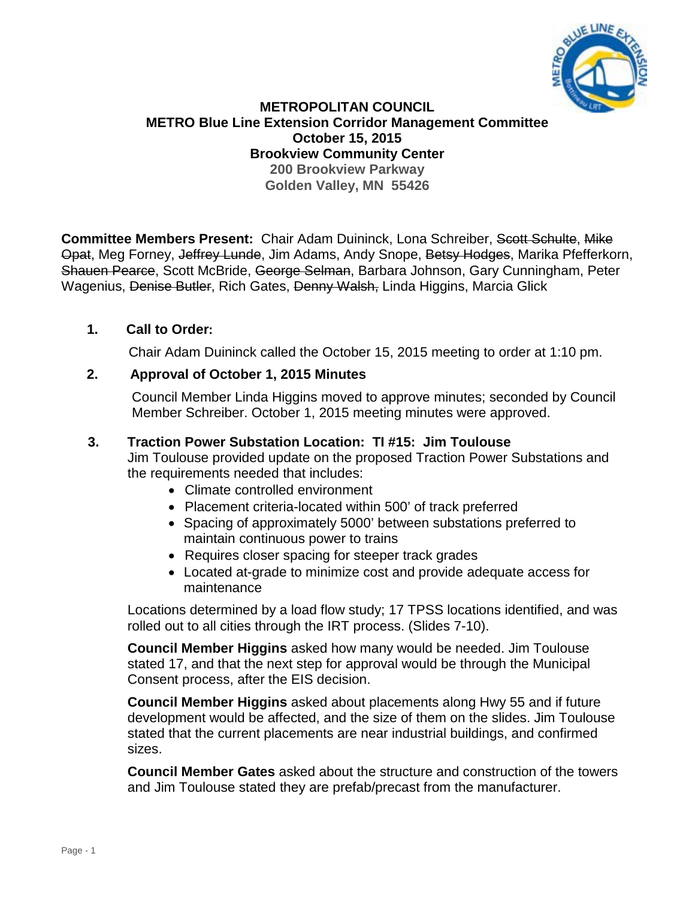

### **METROPOLITAN COUNCIL METRO Blue Line Extension Corridor Management Committee October 15, 2015 Brookview Community Center 200 Brookview Parkway Golden Valley, MN 55426**

**Committee Members Present: Chair Adam Duininck, Lona Schreiber, Scott Schulte, Mike** Opat, Meg Forney, Jeffrey Lunde, Jim Adams, Andy Snope, Betsy Hodges, Marika Pfefferkorn, Shauen Pearce, Scott McBride, George Selman, Barbara Johnson, Gary Cunningham, Peter Wagenius, Denise Butler, Rich Gates, Denny Walsh, Linda Higgins, Marcia Glick

## **1. Call to Order:**

Chair Adam Duininck called the October 15, 2015 meeting to order at 1:10 pm.

## **2. Approval of October 1, 2015 Minutes**

Council Member Linda Higgins moved to approve minutes; seconded by Council Member Schreiber. October 1, 2015 meeting minutes were approved.

## **3. Traction Power Substation Location: TI #15: Jim Toulouse**

Jim Toulouse provided update on the proposed Traction Power Substations and the requirements needed that includes:

- Climate controlled environment
- Placement criteria-located within 500' of track preferred
- Spacing of approximately 5000' between substations preferred to maintain continuous power to trains
- Requires closer spacing for steeper track grades
- Located at-grade to minimize cost and provide adequate access for maintenance

Locations determined by a load flow study; 17 TPSS locations identified, and was rolled out to all cities through the IRT process. (Slides 7-10).

**Council Member Higgins** asked how many would be needed. Jim Toulouse stated 17, and that the next step for approval would be through the Municipal Consent process, after the EIS decision.

**Council Member Higgins** asked about placements along Hwy 55 and if future development would be affected, and the size of them on the slides. Jim Toulouse stated that the current placements are near industrial buildings, and confirmed sizes.

**Council Member Gates** asked about the structure and construction of the towers and Jim Toulouse stated they are prefab/precast from the manufacturer.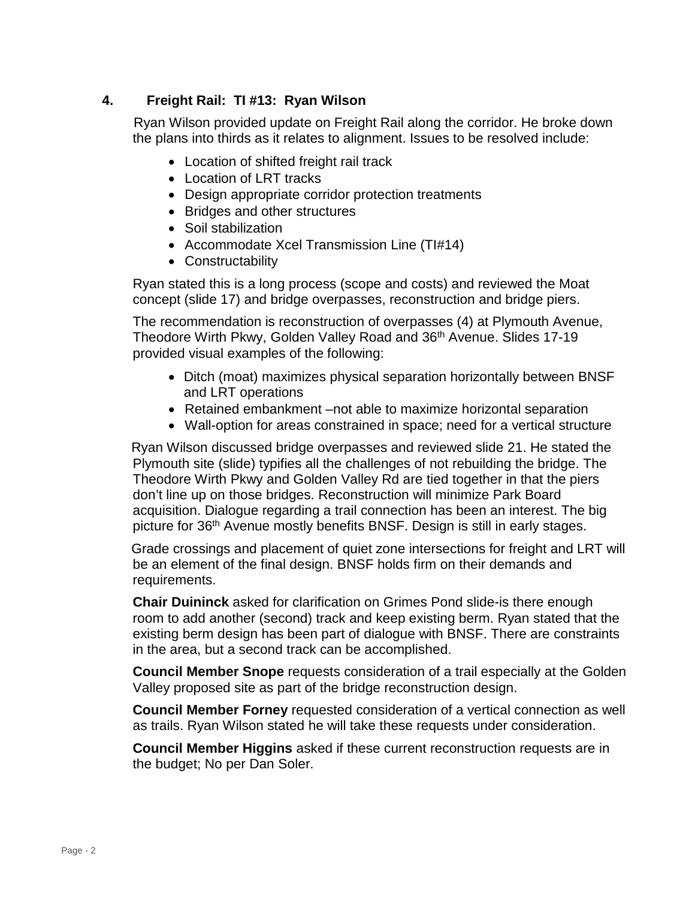# **4. Freight Rail: TI #13: Ryan Wilson**

Ryan Wilson provided update on Freight Rail along the corridor. He broke down the plans into thirds as it relates to alignment. Issues to be resolved include:

- Location of shifted freight rail track
- Location of LRT tracks
- Design appropriate corridor protection treatments
- Bridges and other structures
- Soil stabilization
- Accommodate Xcel Transmission Line (TI#14)
- Constructability

Ryan stated this is a long process (scope and costs) and reviewed the Moat concept (slide 17) and bridge overpasses, reconstruction and bridge piers.

The recommendation is reconstruction of overpasses (4) at Plymouth Avenue, Theodore Wirth Pkwy, Golden Valley Road and 36<sup>th</sup> Avenue. Slides 17-19 provided visual examples of the following:

- Ditch (moat) maximizes physical separation horizontally between BNSF and LRT operations
- Retained embankment –not able to maximize horizontal separation
- Wall-option for areas constrained in space; need for a vertical structure

Ryan Wilson discussed bridge overpasses and reviewed slide 21. He stated the Plymouth site (slide) typifies all the challenges of not rebuilding the bridge. The Theodore Wirth Pkwy and Golden Valley Rd are tied together in that the piers don't line up on those bridges. Reconstruction will minimize Park Board acquisition. Dialogue regarding a trail connection has been an interest. The big picture for 36<sup>th</sup> Avenue mostly benefits BNSF. Design is still in early stages.

 Grade crossings and placement of quiet zone intersections for freight and LRT will be an element of the final design. BNSF holds firm on their demands and requirements.

**Chair Duininck** asked for clarification on Grimes Pond slide-is there enough room to add another (second) track and keep existing berm. Ryan stated that the existing berm design has been part of dialogue with BNSF. There are constraints in the area, but a second track can be accomplished.

**Council Member Snope** requests consideration of a trail especially at the Golden Valley proposed site as part of the bridge reconstruction design.

**Council Member Forney** requested consideration of a vertical connection as well as trails. Ryan Wilson stated he will take these requests under consideration.

**Council Member Higgins** asked if these current reconstruction requests are in the budget; No per Dan Soler.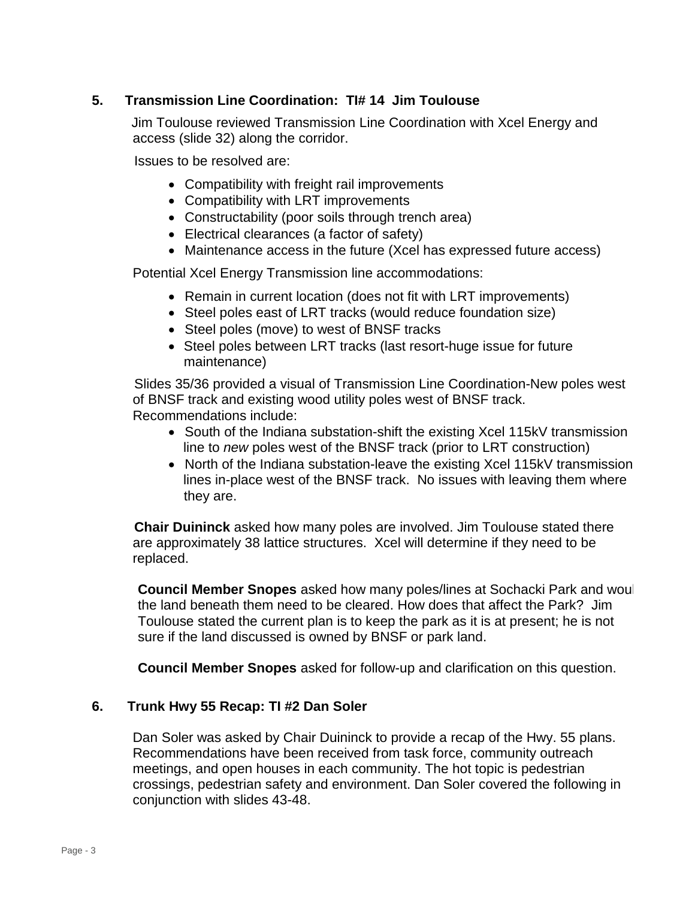## **5. Transmission Line Coordination: TI# 14 Jim Toulouse**

 Jim Toulouse reviewed Transmission Line Coordination with Xcel Energy and access (slide 32) along the corridor.

Issues to be resolved are:

- Compatibility with freight rail improvements
- Compatibility with LRT improvements
- Constructability (poor soils through trench area)
- Electrical clearances (a factor of safety)
- Maintenance access in the future (Xcel has expressed future access)

Potential Xcel Energy Transmission line accommodations:

- Remain in current location (does not fit with LRT improvements)
- Steel poles east of LRT tracks (would reduce foundation size)
- Steel poles (move) to west of BNSF tracks
- Steel poles between LRT tracks (last resort-huge issue for future maintenance)

 Slides 35/36 provided a visual of Transmission Line Coordination-New poles west of BNSF track and existing wood utility poles west of BNSF track. Recommendations include:

- South of the Indiana substation-shift the existing Xcel 115kV transmission line to *new* poles west of the BNSF track (prior to LRT construction)
- North of the Indiana substation-leave the existing Xcel 115kV transmission lines in-place west of the BNSF track. No issues with leaving them where they are.

 **Chair Duininck** asked how many poles are involved. Jim Toulouse stated there are approximately 38 lattice structures. Xcel will determine if they need to be replaced.

**Council Member Snopes** asked how many poles/lines at Sochacki Park and woul the land beneath them need to be cleared. How does that affect the Park? Jim Toulouse stated the current plan is to keep the park as it is at present; he is not sure if the land discussed is owned by BNSF or park land.

**Council Member Snopes** asked for follow-up and clarification on this question.

#### **6. Trunk Hwy 55 Recap: TI #2 Dan Soler**

Dan Soler was asked by Chair Duininck to provide a recap of the Hwy. 55 plans. Recommendations have been received from task force, community outreach meetings, and open houses in each community. The hot topic is pedestrian crossings, pedestrian safety and environment. Dan Soler covered the following in conjunction with slides 43-48.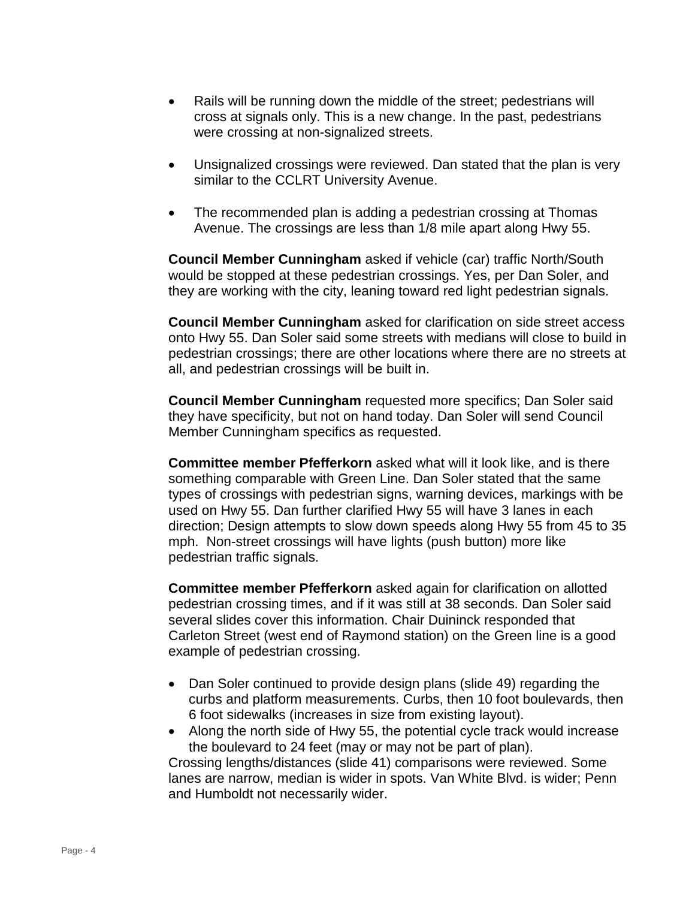- Rails will be running down the middle of the street; pedestrians will cross at signals only. This is a new change. In the past, pedestrians were crossing at non-signalized streets.
- Unsignalized crossings were reviewed. Dan stated that the plan is very similar to the CCLRT University Avenue.
- The recommended plan is adding a pedestrian crossing at Thomas Avenue. The crossings are less than 1/8 mile apart along Hwy 55.

**Council Member Cunningham** asked if vehicle (car) traffic North/South would be stopped at these pedestrian crossings. Yes, per Dan Soler, and they are working with the city, leaning toward red light pedestrian signals.

**Council Member Cunningham** asked for clarification on side street access onto Hwy 55. Dan Soler said some streets with medians will close to build in pedestrian crossings; there are other locations where there are no streets at all, and pedestrian crossings will be built in.

**Council Member Cunningham** requested more specifics; Dan Soler said they have specificity, but not on hand today. Dan Soler will send Council Member Cunningham specifics as requested.

**Committee member Pfefferkorn** asked what will it look like, and is there something comparable with Green Line. Dan Soler stated that the same types of crossings with pedestrian signs, warning devices, markings with be used on Hwy 55. Dan further clarified Hwy 55 will have 3 lanes in each direction; Design attempts to slow down speeds along Hwy 55 from 45 to 35 mph. Non-street crossings will have lights (push button) more like pedestrian traffic signals.

**Committee member Pfefferkorn** asked again for clarification on allotted pedestrian crossing times, and if it was still at 38 seconds. Dan Soler said several slides cover this information. Chair Duininck responded that Carleton Street (west end of Raymond station) on the Green line is a good example of pedestrian crossing.

- Dan Soler continued to provide design plans (slide 49) regarding the curbs and platform measurements. Curbs, then 10 foot boulevards, then 6 foot sidewalks (increases in size from existing layout).
- Along the north side of Hwy 55, the potential cycle track would increase the boulevard to 24 feet (may or may not be part of plan).

Crossing lengths/distances (slide 41) comparisons were reviewed. Some lanes are narrow, median is wider in spots. Van White Blvd. is wider; Penn and Humboldt not necessarily wider.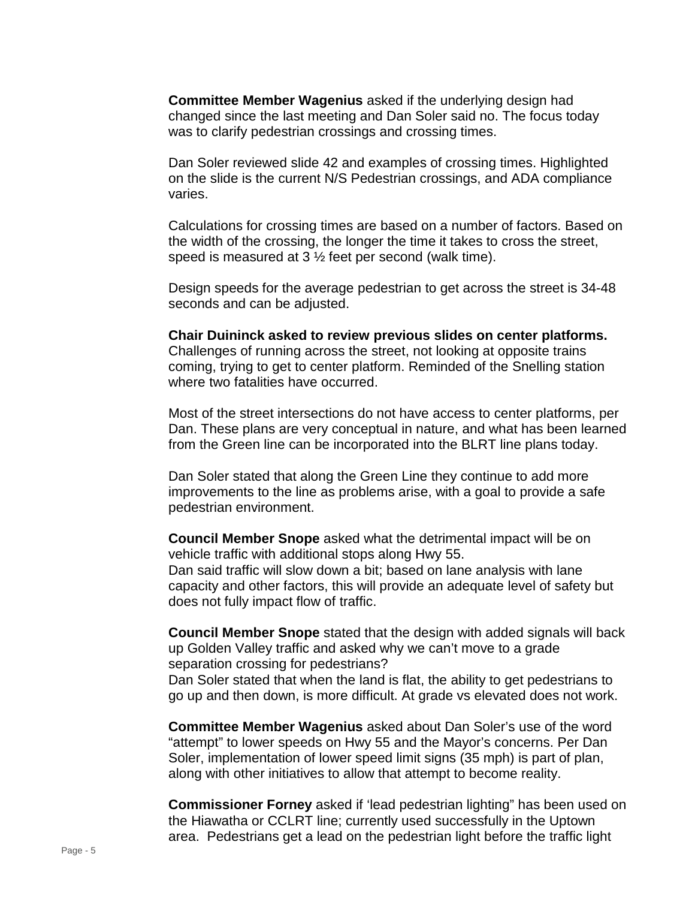**Committee Member Wagenius** asked if the underlying design had changed since the last meeting and Dan Soler said no. The focus today was to clarify pedestrian crossings and crossing times.

Dan Soler reviewed slide 42 and examples of crossing times. Highlighted on the slide is the current N/S Pedestrian crossings, and ADA compliance varies.

Calculations for crossing times are based on a number of factors. Based on the width of the crossing, the longer the time it takes to cross the street, speed is measured at 3 ½ feet per second (walk time).

Design speeds for the average pedestrian to get across the street is 34-48 seconds and can be adjusted.

**Chair Duininck asked to review previous slides on center platforms.** Challenges of running across the street, not looking at opposite trains coming, trying to get to center platform. Reminded of the Snelling station where two fatalities have occurred.

Most of the street intersections do not have access to center platforms, per Dan. These plans are very conceptual in nature, and what has been learned from the Green line can be incorporated into the BLRT line plans today.

Dan Soler stated that along the Green Line they continue to add more improvements to the line as problems arise, with a goal to provide a safe pedestrian environment.

**Council Member Snope** asked what the detrimental impact will be on vehicle traffic with additional stops along Hwy 55. Dan said traffic will slow down a bit; based on lane analysis with lane capacity and other factors, this will provide an adequate level of safety but does not fully impact flow of traffic.

**Council Member Snope** stated that the design with added signals will back up Golden Valley traffic and asked why we can't move to a grade separation crossing for pedestrians?

Dan Soler stated that when the land is flat, the ability to get pedestrians to go up and then down, is more difficult. At grade vs elevated does not work.

**Committee Member Wagenius** asked about Dan Soler's use of the word "attempt" to lower speeds on Hwy 55 and the Mayor's concerns. Per Dan Soler, implementation of lower speed limit signs (35 mph) is part of plan, along with other initiatives to allow that attempt to become reality.

**Commissioner Forney** asked if 'lead pedestrian lighting" has been used on the Hiawatha or CCLRT line; currently used successfully in the Uptown area. Pedestrians get a lead on the pedestrian light before the traffic light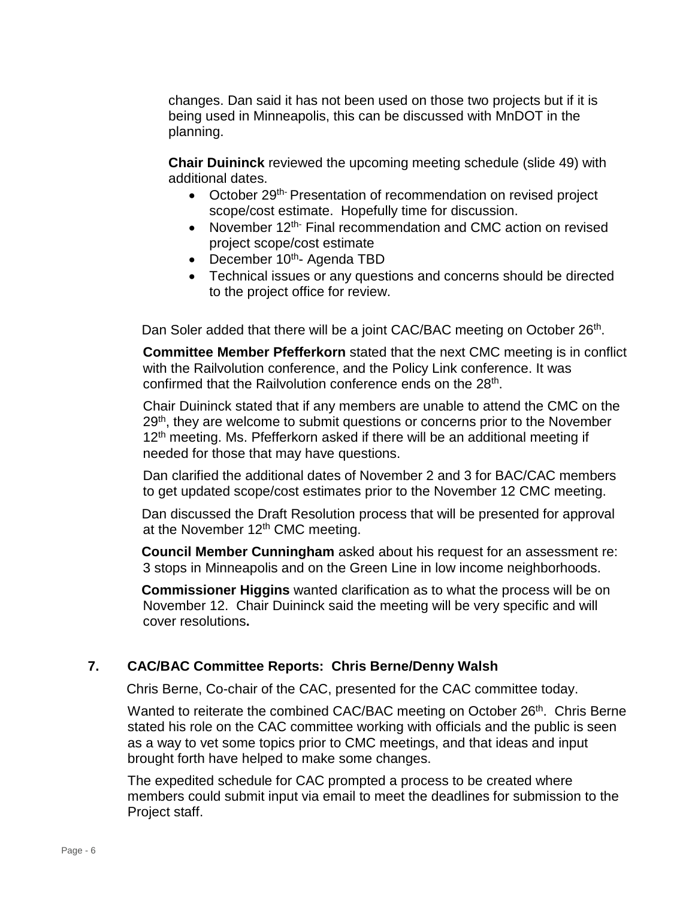changes. Dan said it has not been used on those two projects but if it is being used in Minneapolis, this can be discussed with MnDOT in the planning.

**Chair Duininck** reviewed the upcoming meeting schedule (slide 49) with additional dates.

- October 29<sup>th-</sup> Presentation of recommendation on revised project scope/cost estimate. Hopefully time for discussion.
- November 12<sup>th-</sup> Final recommendation and CMC action on revised project scope/cost estimate
- December  $10^{th}$  Agenda TBD
- Technical issues or any questions and concerns should be directed to the project office for review.

Dan Soler added that there will be a joint CAC/BAC meeting on October 26<sup>th</sup>.

**Committee Member Pfefferkorn** stated that the next CMC meeting is in conflict with the Railvolution conference, and the Policy Link conference. It was confirmed that the Railvolution conference ends on the 28<sup>th</sup>.

Chair Duininck stated that if any members are unable to attend the CMC on the 29<sup>th</sup>, they are welcome to submit questions or concerns prior to the November 12<sup>th</sup> meeting. Ms. Pfefferkorn asked if there will be an additional meeting if needed for those that may have questions.

Dan clarified the additional dates of November 2 and 3 for BAC/CAC members to get updated scope/cost estimates prior to the November 12 CMC meeting.

 Dan discussed the Draft Resolution process that will be presented for approval at the November 12<sup>th</sup> CMC meeting.

**Council Member Cunningham** asked about his request for an assessment re: 3 stops in Minneapolis and on the Green Line in low income neighborhoods.

**Commissioner Higgins** wanted clarification as to what the process will be on November 12. Chair Duininck said the meeting will be very specific and will cover resolutions**.**

# **7. CAC/BAC Committee Reports: Chris Berne/Denny Walsh**

Chris Berne, Co-chair of the CAC, presented for the CAC committee today.

Wanted to reiterate the combined CAC/BAC meeting on October 26<sup>th</sup>. Chris Berne stated his role on the CAC committee working with officials and the public is seen as a way to vet some topics prior to CMC meetings, and that ideas and input brought forth have helped to make some changes.

The expedited schedule for CAC prompted a process to be created where members could submit input via email to meet the deadlines for submission to the Project staff.